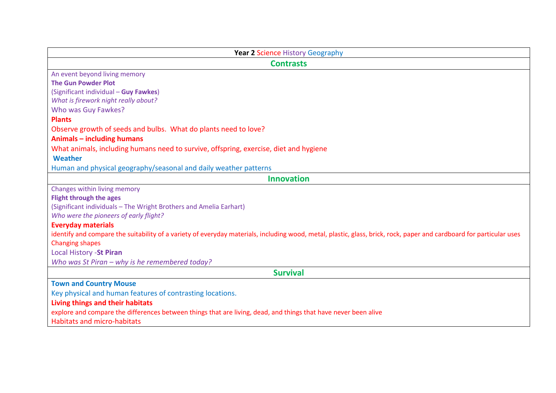| <b>Year 2 Science History Geography</b>                                                                                                                              |
|----------------------------------------------------------------------------------------------------------------------------------------------------------------------|
| <b>Contrasts</b>                                                                                                                                                     |
| An event beyond living memory                                                                                                                                        |
| <b>The Gun Powder Plot</b>                                                                                                                                           |
| (Significant individual - Guy Fawkes)                                                                                                                                |
| What is firework night really about?                                                                                                                                 |
| Who was Guy Fawkes?                                                                                                                                                  |
| <b>Plants</b>                                                                                                                                                        |
| Observe growth of seeds and bulbs. What do plants need to love?                                                                                                      |
| <b>Animals - including humans</b>                                                                                                                                    |
| What animals, including humans need to survive, offspring, exercise, diet and hygiene                                                                                |
| Weather                                                                                                                                                              |
| Human and physical geography/seasonal and daily weather patterns                                                                                                     |
| <b>Innovation</b>                                                                                                                                                    |
| Changes within living memory                                                                                                                                         |
| <b>Flight through the ages</b>                                                                                                                                       |
| (Significant individuals - The Wright Brothers and Amelia Earhart)                                                                                                   |
| Who were the pioneers of early flight?                                                                                                                               |
| <b>Everyday materials</b>                                                                                                                                            |
| identify and compare the suitability of a variety of everyday materials, including wood, metal, plastic, glass, brick, rock, paper and cardboard for particular uses |
| <b>Changing shapes</b>                                                                                                                                               |
| Local History - St Piran                                                                                                                                             |
| Who was St Piran - why is he remembered today?                                                                                                                       |
| <b>Survival</b>                                                                                                                                                      |
| <b>Town and Country Mouse</b>                                                                                                                                        |
| Key physical and human features of contrasting locations.                                                                                                            |
| Living things and their habitats                                                                                                                                     |
| explore and compare the differences between things that are living, dead, and things that have never been alive                                                      |
| <b>Habitats and micro-habitats</b>                                                                                                                                   |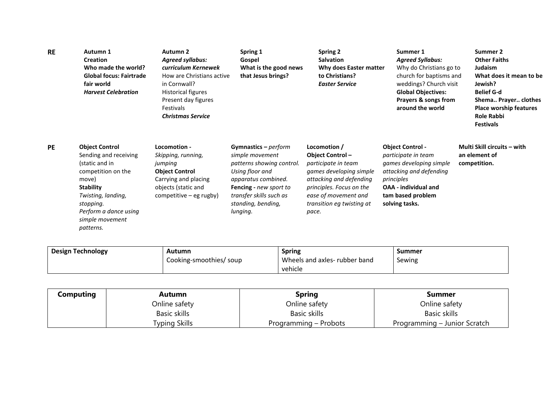| <b>RE</b> | Autumn 1<br><b>Creation</b><br>Who made the world?<br><b>Global focus: Fairtrade</b><br>fair world<br><b>Harvest Celebration</b>                                                                                | Autumn 2<br><b>Agreed syllabus:</b><br>curriculum Kernewek<br>How are Christians active<br>in Cornwall?<br><b>Historical figures</b><br>Present day figures<br>Festivals<br><b>Christmas Service</b> | Spring 1<br>Gospel<br>What is the good news<br>that Jesus brings?                                                                                                                                       | <b>Spring 2</b><br><b>Salvation</b><br>Why does Easter matter<br>to Christians?<br><b>Easter Service</b>                                                                                               | Summer 1<br><b>Agreed Syllabus:</b><br>Why do Christians go to<br>church for baptisms and<br>weddings? Church visit<br><b>Global Objectives:</b><br>Prayers & songs from<br>around the world | Summer 2<br><b>Other Faiths</b><br>Judaism<br>What does it mean to be<br>Jewish?<br><b>Belief G-d</b><br>Shema Prayer clothes<br><b>Place worship features</b><br><b>Role Rabbi</b><br><b>Festivals</b> |
|-----------|-----------------------------------------------------------------------------------------------------------------------------------------------------------------------------------------------------------------|------------------------------------------------------------------------------------------------------------------------------------------------------------------------------------------------------|---------------------------------------------------------------------------------------------------------------------------------------------------------------------------------------------------------|--------------------------------------------------------------------------------------------------------------------------------------------------------------------------------------------------------|----------------------------------------------------------------------------------------------------------------------------------------------------------------------------------------------|---------------------------------------------------------------------------------------------------------------------------------------------------------------------------------------------------------|
| <b>PE</b> | <b>Object Control</b><br>Sending and receiving<br>(static and in<br>competition on the<br>move)<br><b>Stability</b><br>Twisting, landing,<br>stopping.<br>Perform a dance using<br>simple movement<br>patterns. | Locomotion -<br>Skipping, running,<br>jumping<br><b>Object Control</b><br>Carrying and placing<br>objects (static and<br>$\mathsf{competitive-eg\,rugby})$                                           | Gymnastics $-$ perform<br>simple movement<br>patterns showing control.<br>Using floor and<br>apparatus combined.<br>Fencing - new sport to<br>transfer skills such as<br>standing, bending,<br>lunging. | Locomotion /<br>Object Control-<br>participate in team<br>games developing simple<br>attacking and defending<br>principles. Focus on the<br>ease of movement and<br>transition eg twisting at<br>pace. | <b>Object Control -</b><br>participate in team<br>games developing simple<br>attacking and defending<br>principles<br>OAA - individual and<br>tam based problem<br>solving tasks.            | Multi Skill circuits – with<br>an element of<br>competition.                                                                                                                                            |

| <b>Design Technology</b> | Autumn                  | <b>Spring</b>                | Summer |
|--------------------------|-------------------------|------------------------------|--------|
|                          | Cooking-smoothies/ soup | Wheels and axles-rubber band | Sewing |
|                          |                         | vehicle                      |        |

| Computing | Autumn        | <b>Spring</b>         | Summer                       |
|-----------|---------------|-----------------------|------------------------------|
|           | Online safety | Online safety         | Online safety                |
|           | Basic skills  | Basic skills          | Basic skills                 |
|           | Typing Skills | Programming – Probots | Programming – Junior Scratch |